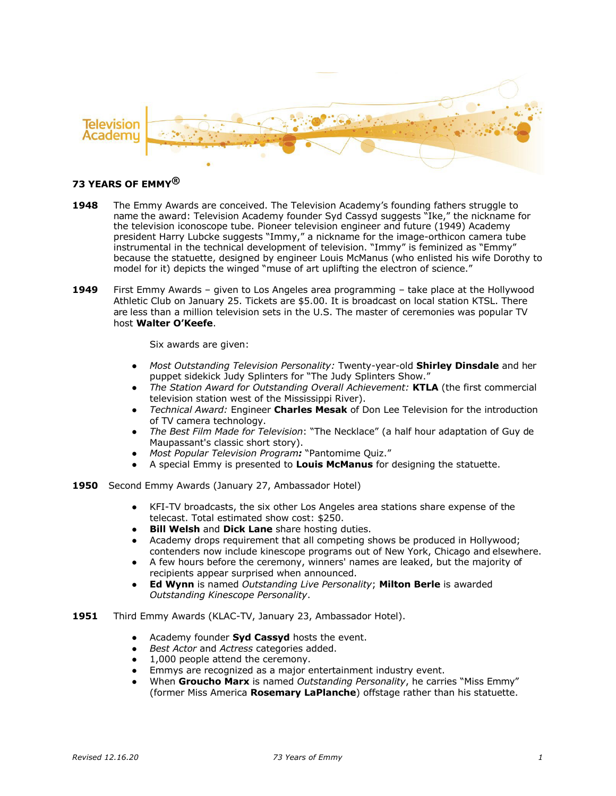

# **73 YEARS OF EMMY®**

- **1948** The Emmy Awards are conceived. The Television Academy's founding fathers struggle to name the award: Television Academy founder Syd Cassyd suggests "Ike," the nickname for the television iconoscope tube. Pioneer television engineer and future (1949) Academy president Harry Lubcke suggests "Immy," a nickname for the image-orthicon camera tube instrumental in the technical development of television. "Immy" is feminized as "Emmy" because the statuette, designed by engineer Louis McManus (who enlisted his wife Dorothy to model for it) depicts the winged "muse of art uplifting the electron of science."
- **1949** First Emmy Awards given to Los Angeles area programming take place at the Hollywood Athletic Club on January 25. Tickets are \$5.00. It is broadcast on local station KTSL. There are less than a million television sets in the U.S. The master of ceremonies was popular TV host **Walter O'Keefe**.

Six awards are given:

- *Most Outstanding Television Personality:* Twenty-year-old **Shirley Dinsdale** and her puppet sidekick Judy Splinters for "The Judy Splinters Show."
- *The Station Award for Outstanding Overall Achievement:* **KTLA** (the first commercial television station west of the Mississippi River).
- *Technical Award:* Engineer **Charles Mesak** of Don Lee Television for the introduction of TV camera technology.
- *The Best Film Made for Television*: "The Necklace" (a half hour adaptation of Guy de Maupassant's classic short story).
- *Most Popular Television Program:* "Pantomime Quiz."
- A special Emmy is presented to **Louis McManus** for designing the statuette.
- **1950** Second Emmy Awards (January 27, Ambassador Hotel)
	- KFI-TV broadcasts, the six other Los Angeles area stations share expense of the telecast. Total estimated show cost: \$250.
	- **Bill Welsh and Dick Lane** share hosting duties.
	- Academy drops requirement that all competing shows be produced in Hollywood; contenders now include kinescope programs out of New York, Chicago and elsewhere.
	- A few hours before the ceremony, winners' names are leaked, but the majority of recipients appear surprised when announced.
	- **Ed Wynn** is named *Outstanding Live Personality*; **Milton Berle** is awarded *Outstanding Kinescope Personality*.
- **1951** Third Emmy Awards (KLAC-TV, January 23, Ambassador Hotel).
	- Academy founder **Syd Cassyd** hosts the event.
	- *Best Actor* and *Actress* categories added.
	- 1,000 people attend the ceremony.
	- Emmys are recognized as a major entertainment industry event.
	- When **Groucho Marx** is named *Outstanding Personality*, he carries "Miss Emmy" (former Miss America **Rosemary LaPlanche**) offstage rather than his statuette.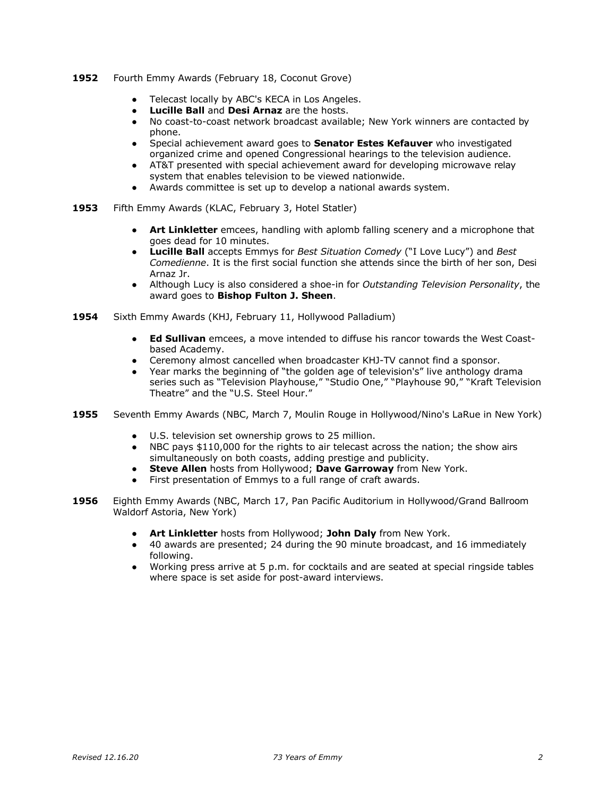#### **1952** Fourth Emmy Awards (February 18, Coconut Grove)

- Telecast locally by ABC's KECA in Los Angeles.
- **Lucille Ball and Desi Arnaz are the hosts.**
- No coast-to-coast network broadcast available; New York winners are contacted by phone.
- Special achievement award goes to **Senator Estes Kefauver** who investigated organized crime and opened Congressional hearings to the television audience.
- AT&T presented with special achievement award for developing microwave relay system that enables television to be viewed nationwide.
- Awards committee is set up to develop a national awards system.
- **1953** Fifth Emmy Awards (KLAC, February 3, Hotel Statler)
	- **Art Linkletter** emcees, handling with aplomb falling scenery and a microphone that goes dead for 10 minutes.
	- **Lucille Ball** accepts Emmys for *Best Situation Comedy* ("I Love Lucy") and *Best Comedienne*. It is the first social function she attends since the birth of her son, Desi Arnaz Jr.
	- Although Lucy is also considered a shoe-in for *Outstanding Television Personality*, the award goes to **Bishop Fulton J. Sheen**.
- **1954** Sixth Emmy Awards (KHJ, February 11, Hollywood Palladium)
	- **Ed Sullivan** emcees, a move intended to diffuse his rancor towards the West Coastbased Academy.
	- Ceremony almost cancelled when broadcaster KHJ-TV cannot find a sponsor.
	- Year marks the beginning of "the golden age of television's" live anthology drama series such as "Television Playhouse," "Studio One," "Playhouse 90," "Kraft Television Theatre" and the "U.S. Steel Hour."
- **1955** Seventh Emmy Awards (NBC, March 7, Moulin Rouge in Hollywood/Nino's LaRue in New York)
	- U.S. television set ownership grows to 25 million.
	- NBC pays \$110,000 for the rights to air telecast across the nation; the show airs simultaneously on both coasts, adding prestige and publicity.
	- **Steve Allen** hosts from Hollywood; **Dave Garroway** from New York.
	- First presentation of Emmys to a full range of craft awards.
- **1956** Eighth Emmy Awards (NBC, March 17, Pan Pacific Auditorium in Hollywood/Grand Ballroom Waldorf Astoria, New York)
	- **Art Linkletter** hosts from Hollywood; **John Daly** from New York.
	- 40 awards are presented; 24 during the 90 minute broadcast, and 16 immediately following.
	- Working press arrive at 5 p.m. for cocktails and are seated at special ringside tables where space is set aside for post-award interviews.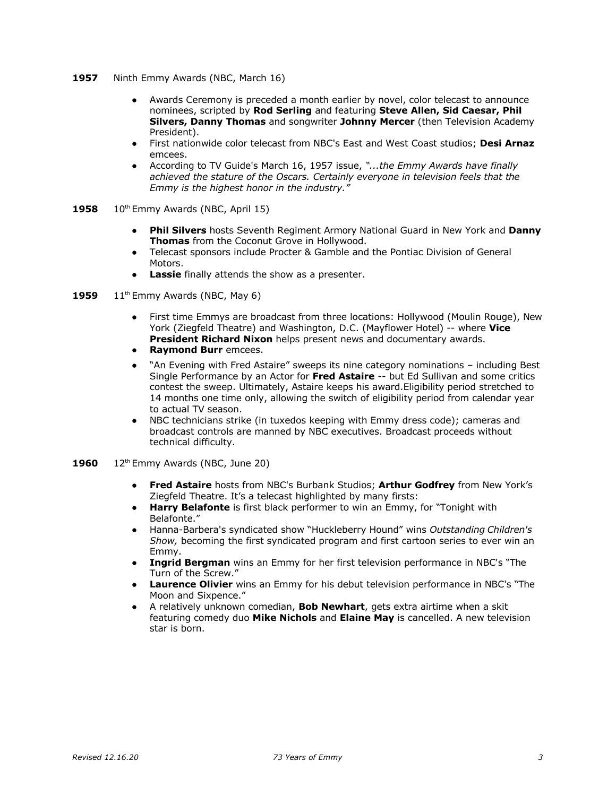- **1957** Ninth Emmy Awards (NBC, March 16)
	- Awards Ceremony is preceded a month earlier by novel, color telecast to announce nominees, scripted by **Rod Serling** and featuring **Steve Allen, Sid Caesar, Phil Silvers, Danny Thomas** and songwriter **Johnny Mercer** (then Television Academy President).
	- First nationwide color telecast from NBC's East and West Coast studios; **Desi Arnaz** emcees.
	- According to TV Guide's March 16, 1957 issue, *"...the Emmy Awards have finally achieved the stature of the Oscars. Certainly everyone in television feels that the Emmy is the highest honor in the industry."*
- **1958** 10<sup>th</sup> Emmy Awards (NBC, April 15)
	- **Phil Silvers** hosts Seventh Regiment Armory National Guard in New York and **Danny Thomas** from the Coconut Grove in Hollywood.
	- Telecast sponsors include Procter & Gamble and the Pontiac Division of General Motors.
	- **Lassie** finally attends the show as a presenter.
- **1959** 11<sup>th</sup> Emmy Awards (NBC, May 6)
	- First time Emmys are broadcast from three locations: Hollywood (Moulin Rouge), New York (Ziegfeld Theatre) and Washington, D.C. (Mayflower Hotel) -- where **Vice President Richard Nixon** helps present news and documentary awards.
	- **Raymond Burr** emcees.
	- "An Evening with Fred Astaire" sweeps its nine category nominations including Best Single Performance by an Actor for **Fred Astaire** -- but Ed Sullivan and some critics contest the sweep. Ultimately, Astaire keeps his award.Eligibility period stretched to 14 months one time only, allowing the switch of eligibility period from calendar year to actual TV season.
	- NBC technicians strike (in tuxedos keeping with Emmy dress code); cameras and broadcast controls are manned by NBC executives. Broadcast proceeds without technical difficulty.
- **1960** 12<sup>th</sup> Emmy Awards (NBC, June 20)
	- **● Fred Astaire** hosts from NBC's Burbank Studios; **Arthur Godfrey** from New York's Ziegfeld Theatre. It's a telecast highlighted by many firsts:
	- **Harry Belafonte** is first black performer to win an Emmy, for "Tonight with Belafonte."
	- Hanna-Barbera's syndicated show "Huckleberry Hound" wins *Outstanding Children's Show,* becoming the first syndicated program and first cartoon series to ever win an Emmy.
	- **Ingrid Bergman** wins an Emmy for her first television performance in NBC's "The Turn of the Screw."
	- **Laurence Olivier** wins an Emmy for his debut television performance in NBC's "The Moon and Sixpence."
	- A relatively unknown comedian, **Bob Newhart**, gets extra airtime when a skit featuring comedy duo **Mike Nichols** and **Elaine May** is cancelled. A new television star is born.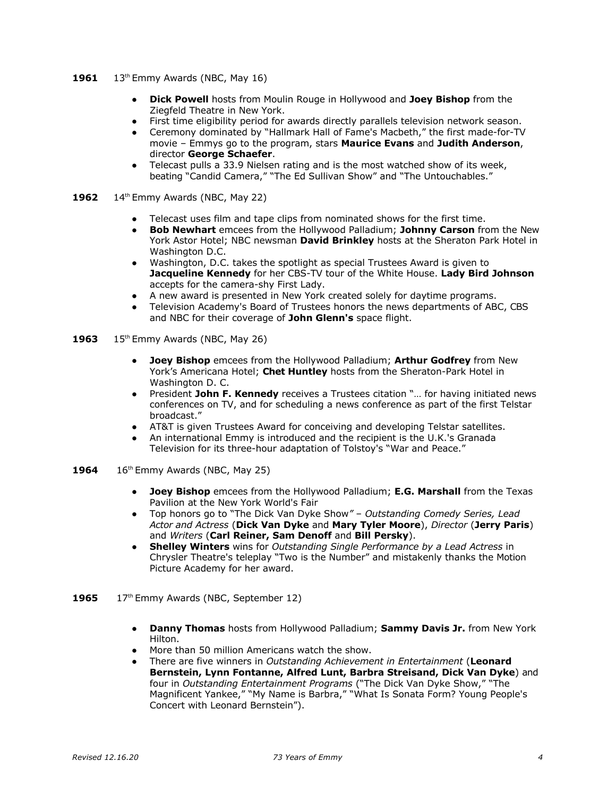- **1961** 13<sup>th</sup> Emmy Awards (NBC, May 16)
	- **Dick Powell** hosts from Moulin Rouge in Hollywood and **Joey Bishop** from the Ziegfeld Theatre in New York.
	- First time eligibility period for awards directly parallels television network season.
	- Ceremony dominated by "Hallmark Hall of Fame's Macbeth," the first made-for-TV movie – Emmys go to the program, stars **Maurice Evans** and **Judith Anderson**, director **George Schaefer**.
	- Telecast pulls a 33.9 Nielsen rating and is the most watched show of its week, beating "Candid Camera," "The Ed Sullivan Show" and "The Untouchables."
- **1962** 14<sup>th</sup> Emmy Awards (NBC, May 22)
	- Telecast uses film and tape clips from nominated shows for the first time.
	- **Bob Newhart** emcees from the Hollywood Palladium; **Johnny Carson** from the New York Astor Hotel; NBC newsman **David Brinkley** hosts at the Sheraton Park Hotel in Washington D.C.
	- Washington, D.C. takes the spotlight as special Trustees Award is given to **Jacqueline Kennedy** for her CBS-TV tour of the White House. **Lady Bird Johnson**  accepts for the camera-shy First Lady.
	- A new award is presented in New York created solely for daytime programs.
	- Television Academy's Board of Trustees honors the news departments of ABC, CBS and NBC for their coverage of **John Glenn's** space flight.
- **1963** 15<sup>th</sup> Emmy Awards (NBC, May 26)
	- **Joey Bishop** emcees from the Hollywood Palladium; **Arthur Godfrey** from New York's Americana Hotel; **Chet Huntley** hosts from the Sheraton-Park Hotel in Washington D. C.
	- President **John F. Kennedy** receives a Trustees citation "… for having initiated news conferences on TV, and for scheduling a news conference as part of the first Telstar broadcast."
	- AT&T is given Trustees Award for conceiving and developing Telstar satellites.
	- An international Emmy is introduced and the recipient is the U.K.'s Granada Television for its three-hour adaptation of Tolstoy's "War and Peace."
- **1964** 16<sup>th</sup> Emmy Awards (NBC, May 25)
	- **Joey Bishop** emcees from the Hollywood Palladium; **E.G. Marshall** from the Texas Pavilion at the New York World's Fair
	- Top honors go to "The Dick Van Dyke Show*" Outstanding Comedy Series, Lead Actor and Actress* (**Dick Van Dyke** and **Mary Tyler Moore**), *Director* (**Jerry Paris**) and *Writers* (**Carl Reiner, Sam Denoff** and **Bill Persky**).
	- **Shelley Winters** wins for *Outstanding Single Performance by a Lead Actress* in Chrysler Theatre's teleplay "Two is the Number" and mistakenly thanks the Motion Picture Academy for her award.
- 1965 17<sup>th</sup> Emmy Awards (NBC, September 12)
	- **● Danny Thomas** hosts from Hollywood Palladium; **Sammy Davis Jr.** from New York Hilton.
	- More than 50 million Americans watch the show.
	- There are five winners in *Outstanding Achievement in Entertainment* (**Leonard Bernstein, Lynn Fontanne, Alfred Lunt, Barbra Streisand, Dick Van Dyke**) and four in *Outstanding Entertainment Programs* ("The Dick Van Dyke Show," "The Magnificent Yankee," "My Name is Barbra," "What Is Sonata Form? Young People's Concert with Leonard Bernstein").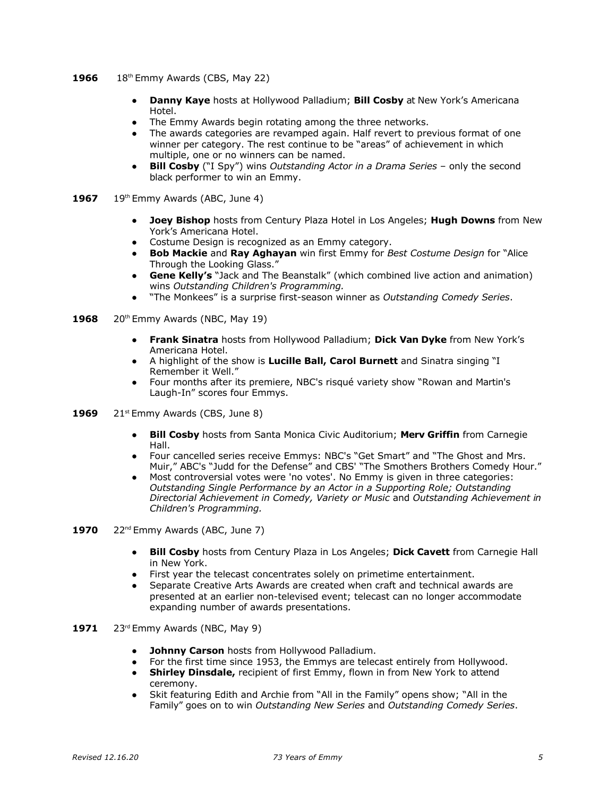- **1966** 18<sup>th</sup> Emmy Awards (CBS, May 22)
	- **● Danny Kaye** hosts at Hollywood Palladium; **Bill Cosby** at New York's Americana Hotel.
	- The Emmy Awards begin rotating among the three networks.
	- The awards categories are revamped again. Half revert to previous format of one winner per category. The rest continue to be "areas" of achievement in which multiple, one or no winners can be named.
	- **Bill Cosby** ("I Spy") wins *Outstanding Actor in a Drama Series only the second* black performer to win an Emmy.
- 1967 19<sup>th</sup> Emmy Awards (ABC, June 4)
	- **● Joey Bishop** hosts from Century Plaza Hotel in Los Angeles; **Hugh Downs** from New York's Americana Hotel.
	- Costume Design is recognized as an Emmy category.
	- **Bob Mackie** and **Ray Aghayan** win first Emmy for *Best Costume Design* for "Alice Through the Looking Glass."
	- **Gene Kelly's** "Jack and The Beanstalk" (which combined live action and animation) wins *Outstanding Children's Programming.*
	- "The Monkees" is a surprise first-season winner as *Outstanding Comedy Series*.
- **1968** 20<sup>th</sup> Emmy Awards (NBC, May 19)
	- **● Frank Sinatra** hosts from Hollywood Palladium; **Dick Van Dyke** from New York's Americana Hotel.
	- A highlight of the show is **Lucille Ball, Carol Burnett** and Sinatra singing "I Remember it Well."
	- Four months after its premiere, NBC's risqué variety show "Rowan and Martin's Laugh-In" scores four Emmys.
- 1969 21<sup>st</sup> Emmy Awards (CBS, June 8)
	- **● Bill Cosby** hosts from Santa Monica Civic Auditorium; **Merv Griffin** from Carnegie Hall.
	- Four cancelled series receive Emmys: NBC's "Get Smart" and "The Ghost and Mrs. Muir," ABC's "Judd for the Defense" and CBS' "The Smothers Brothers Comedy Hour."
	- Most controversial votes were 'no votes'. No Emmy is given in three categories: *Outstanding Single Performance by an Actor in a Supporting Role; Outstanding Directorial Achievement in Comedy, Variety or Music* and *Outstanding Achievement in Children's Programming.*
- **1970** 22<sup>nd</sup> Emmy Awards (ABC, June 7)
	- **● Bill Cosby** hosts from Century Plaza in Los Angeles; **Dick Cavett** from Carnegie Hall in New York.
	- First year the telecast concentrates solely on primetime entertainment.
	- Separate Creative Arts Awards are created when craft and technical awards are presented at an earlier non-televised event; telecast can no longer accommodate expanding number of awards presentations.
- **1971** 23rd Emmy Awards (NBC, May 9)
	- **● Johnny Carson** hosts from Hollywood Palladium.
	- For the first time since 1953, the Emmys are telecast entirely from Hollywood.
	- **Shirley Dinsdale,** recipient of first Emmy, flown in from New York to attend ceremony.
	- Skit featuring Edith and Archie from "All in the Family" opens show; "All in the Family" goes on to win *Outstanding New Series* and *Outstanding Comedy Series*.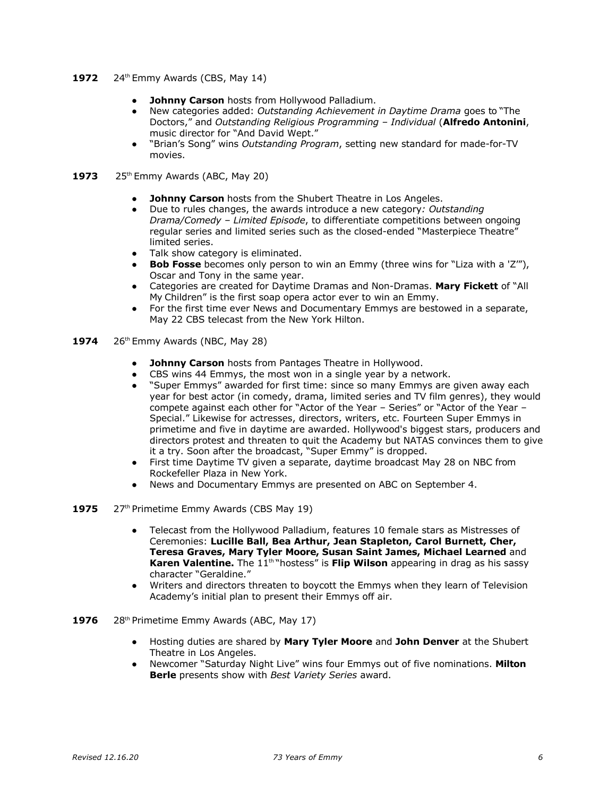- **1972** 24<sup>th</sup> Emmy Awards (CBS, May 14)
	- **Johnny Carson** hosts from Hollywood Palladium.
	- New categories added: *Outstanding Achievement in Daytime Drama* goes to "The Doctors," and *Outstanding Religious Programming – Individual* (**Alfredo Antonini**, music director for "And David Wept."
	- "Brian's Song" wins *Outstanding Program*, setting new standard for made-for-TV movies.
- **1973** 25<sup>th</sup> Emmy Awards (ABC, May 20)
	- **Johnny Carson** hosts from the Shubert Theatre in Los Angeles.
	- Due to rules changes, the awards introduce a new category*: Outstanding Drama/Comedy – Limited Episode*, to differentiate competitions between ongoing regular series and limited series such as the closed-ended "Masterpiece Theatre" limited series.
	- Talk show category is eliminated.
	- **Bob Fosse** becomes only person to win an Emmy (three wins for "Liza with a 'Z'"), Oscar and Tony in the same year.
	- Categories are created for Daytime Dramas and Non-Dramas. **Mary Fickett** of "All My Children" is the first soap opera actor ever to win an Emmy.
	- For the first time ever News and Documentary Emmys are bestowed in a separate, May 22 CBS telecast from the New York Hilton.
- **1974** 26<sup>th</sup> Emmy Awards (NBC, May 28)
	- **● Johnny Carson** hosts from Pantages Theatre in Hollywood.
	- CBS wins 44 Emmys, the most won in a single year by a network.
	- "Super Emmys" awarded for first time: since so many Emmys are given away each year for best actor (in comedy, drama, limited series and TV film genres), they would compete against each other for "Actor of the Year – Series" or "Actor of the Year – Special." Likewise for actresses, directors, writers, etc. Fourteen Super Emmys in primetime and five in daytime are awarded. Hollywood's biggest stars, producers and directors protest and threaten to quit the Academy but NATAS convinces them to give it a try. Soon after the broadcast, "Super Emmy" is dropped.
	- First time Daytime TV given a separate, daytime broadcast May 28 on NBC from Rockefeller Plaza in New York.
	- News and Documentary Emmys are presented on ABC on September 4.
- 1975 27<sup>th</sup> Primetime Emmy Awards (CBS May 19)
	- Telecast from the Hollywood Palladium, features 10 female stars as Mistresses of Ceremonies: **Lucille Ball, Bea Arthur, Jean Stapleton, Carol Burnett, Cher, Teresa Graves, Mary Tyler Moore, Susan Saint James, Michael Learned** and Karen Valentine. The 11<sup>th "</sup>hostess" is Flip Wilson appearing in drag as his sassy character "Geraldine."
	- Writers and directors threaten to boycott the Emmys when they learn of Television Academy's initial plan to present their Emmys off air.
- 1976 28<sup>th</sup> Primetime Emmy Awards (ABC, May 17)
	- Hosting duties are shared by **Mary Tyler Moore** and **John Denver** at the Shubert Theatre in Los Angeles.
	- Newcomer "Saturday Night Live" wins four Emmys out of five nominations. **Milton Berle** presents show with *Best Variety Series* award.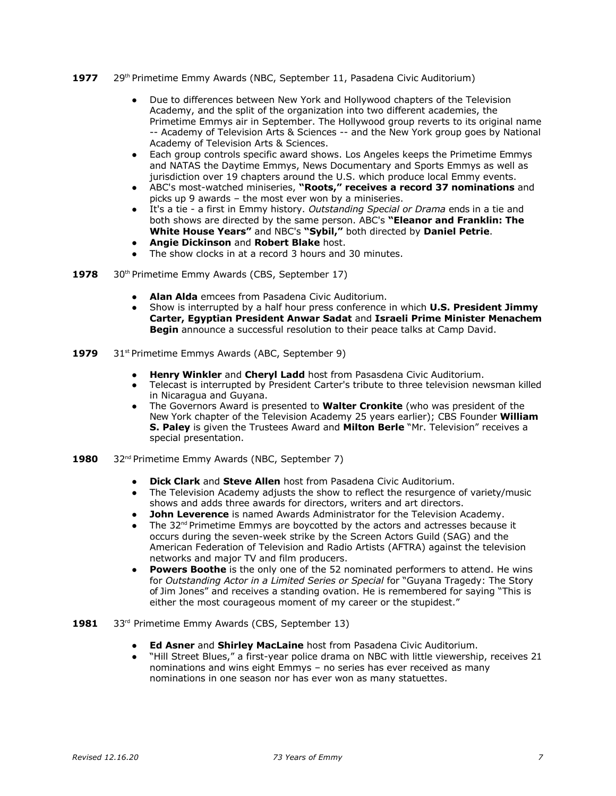- 1977 29<sup>th</sup> Primetime Emmy Awards (NBC, September 11, Pasadena Civic Auditorium)
	- Due to differences between New York and Hollywood chapters of the Television Academy, and the split of the organization into two different academies, the Primetime Emmys air in September. The Hollywood group reverts to its original name -- Academy of Television Arts & Sciences -- and the New York group goes by National Academy of Television Arts & Sciences.
	- Each group controls specific award shows. Los Angeles keeps the Primetime Emmys and NATAS the Daytime Emmys, News Documentary and Sports Emmys as well as jurisdiction over 19 chapters around the U.S. which produce local Emmy events.
	- ABC's most-watched miniseries, **"Roots," receives a record 37 nominations** and picks up 9 awards – the most ever won by a miniseries.
	- It's a tie a first in Emmy history. *Outstanding Special or Drama* ends in a tie and both shows are directed by the same person. ABC's **"Eleanor and Franklin: The White House Years"** and NBC's **"Sybil,"** both directed by **Daniel Petrie**.
	- **Angie Dickinson** and **Robert Blake** host.
	- The show clocks in at a record 3 hours and 30 minutes.
- **1978** 30<sup>th</sup> Primetime Emmy Awards (CBS, September 17)
	- **● Alan Alda** emcees from Pasadena Civic Auditorium.
	- Show is interrupted by a half hour press conference in which **U.S. President Jimmy Carter, Egyptian President Anwar Sadat** and **Israeli Prime Minister Menachem Begin** announce a successful resolution to their peace talks at Camp David.
- **1979** 31<sup>st</sup> Primetime Emmys Awards (ABC, September 9)
	- **● Henry Winkler** and **Cheryl Ladd** host from Pasasdena Civic Auditorium.
	- Telecast is interrupted by President Carter's tribute to three television newsman killed in Nicaragua and Guyana.
	- The Governors Award is presented to **Walter Cronkite** (who was president of the New York chapter of the Television Academy 25 years earlier); CBS Founder **William S. Paley** is given the Trustees Award and **Milton Berle** "Mr. Television" receives a special presentation.
- 1980 32<sup>nd</sup> Primetime Emmy Awards (NBC, September 7)
	- **● Dick Clark** and **Steve Allen** host from Pasadena Civic Auditorium.
	- The Television Academy adjusts the show to reflect the resurgence of variety/music shows and adds three awards for directors, writers and art directors.
	- John Leverence is named Awards Administrator for the Television Academy.
	- The  $32<sup>nd</sup>$  Primetime Emmys are boycotted by the actors and actresses because it occurs during the seven-week strike by the Screen Actors Guild (SAG) and the American Federation of Television and Radio Artists (AFTRA) against the television networks and major TV and film producers.
	- **Powers Boothe** is the only one of the 52 nominated performers to attend. He wins for *Outstanding Actor in a Limited Series or Special* for "Guyana Tragedy: The Story of Jim Jones" and receives a standing ovation. He is remembered for saying "This is either the most courageous moment of my career or the stupidest."
- 1981 33<sup>rd</sup> Primetime Emmy Awards (CBS, September 13)
	- **● Ed Asner** and **Shirley MacLaine** host from Pasadena Civic Auditorium.
	- "Hill Street Blues," a first-year police drama on NBC with little viewership, receives 21 nominations and wins eight Emmys – no series has ever received as many nominations in one season nor has ever won as many statuettes.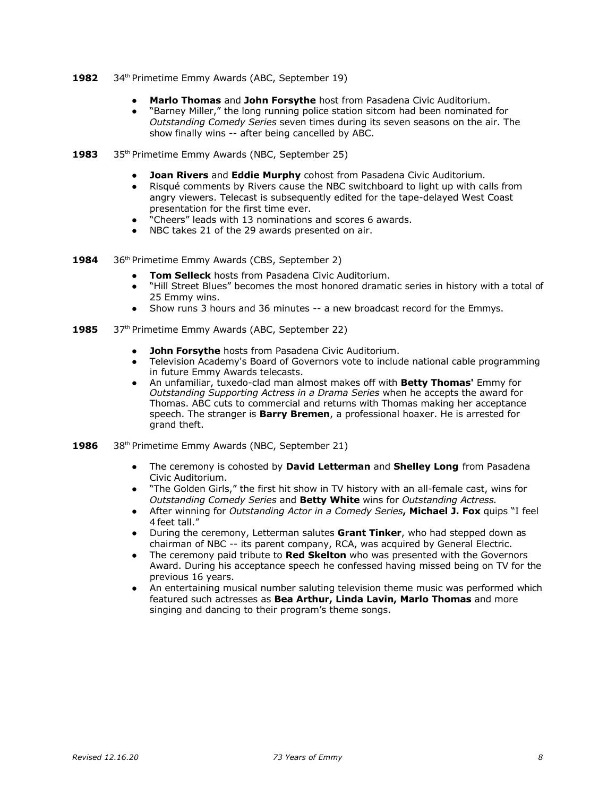- 1982 34<sup>th</sup> Primetime Emmy Awards (ABC, September 19)
	- **● Marlo Thomas** and **John Forsythe** host from Pasadena Civic Auditorium.
	- "Barney Miller," the long running police station sitcom had been nominated for *Outstanding Comedy Series* seven times during its seven seasons on the air. The show finally wins -- after being cancelled by ABC.
- 1983 35<sup>th</sup> Primetime Emmy Awards (NBC, September 25)
	- **Joan Rivers** and **Eddie Murphy** cohost from Pasadena Civic Auditorium.
	- Risqué comments by Rivers cause the NBC switchboard to light up with calls from angry viewers. Telecast is subsequently edited for the tape-delayed West Coast presentation for the first time ever.
	- "Cheers" leads with 13 nominations and scores 6 awards.
	- NBC takes 21 of the 29 awards presented on air.
- 1984 36<sup>th</sup> Primetime Emmy Awards (CBS, September 2)
	- **Tom Selleck** hosts from Pasadena Civic Auditorium.
	- "Hill Street Blues" becomes the most honored dramatic series in history with a total of 25 Emmy wins.
	- Show runs 3 hours and 36 minutes -- a new broadcast record for the Emmys.
- 1985 37<sup>th</sup> Primetime Emmy Awards (ABC, September 22)
	- **John Forsythe** hosts from Pasadena Civic Auditorium.
	- Television Academy's Board of Governors vote to include national cable programming in future Emmy Awards telecasts.
	- An unfamiliar, tuxedo-clad man almost makes off with **Betty Thomas'** Emmy for *Outstanding Supporting Actress in a Drama Series* when he accepts the award for Thomas. ABC cuts to commercial and returns with Thomas making her acceptance speech. The stranger is **Barry Bremen**, a professional hoaxer. He is arrested for grand theft.
- **1986** 38th Primetime Emmy Awards (NBC, September 21)
	- The ceremony is cohosted by **David Letterman** and **Shelley Long** from Pasadena Civic Auditorium.
	- "The Golden Girls," the first hit show in TV history with an all-female cast, wins for *Outstanding Comedy Series* and **Betty White** wins for *Outstanding Actress.*
	- After winning for *Outstanding Actor in a Comedy Series***, Michael J. Fox** quips "I feel 4 feet tall."
	- During the ceremony, Letterman salutes **Grant Tinker**, who had stepped down as chairman of NBC -- its parent company, RCA, was acquired by General Electric.
	- The ceremony paid tribute to **Red Skelton** who was presented with the Governors Award. During his acceptance speech he confessed having missed being on TV for the previous 16 years.
	- An entertaining musical number saluting television theme music was performed which featured such actresses as **Bea Arthur, Linda Lavin, Marlo Thomas** and more singing and dancing to their program's theme songs.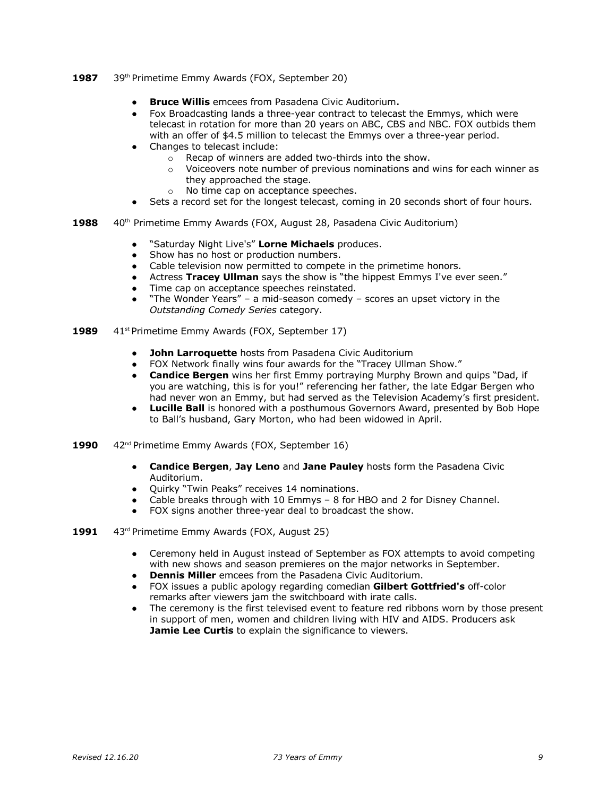- 1987 39<sup>th</sup> Primetime Emmy Awards (FOX, September 20)
	- **● Bruce Willis** emcees from Pasadena Civic Auditorium.
	- Fox Broadcasting lands a three-year contract to telecast the Emmys, which were telecast in rotation for more than 20 years on ABC, CBS and NBC. FOX outbids them with an offer of \$4.5 million to telecast the Emmys over a three-year period.
	- Changes to telecast include:
		- $\circ$  Recap of winners are added two-thirds into the show.<br>  $\circ$  Voiceovers note number of previous nominations and
			- Voiceovers note number of previous nominations and wins for each winner as they approached the stage.
			- o No time cap on acceptance speeches.
	- Sets a record set for the longest telecast, coming in 20 seconds short of four hours.
- **1988** 40<sup>th</sup> Primetime Emmy Awards (FOX, August 28, Pasadena Civic Auditorium)
	- "Saturday Night Live's" Lorne Michaels produces.
	- Show has no host or production numbers.<br>• Cable television now permitted to compete
	- Cable television now permitted to compete in the primetime honors.
	- Actress **Tracey Ullman** says the show is "the hippest Emmys I've ever seen."
	- Time cap on acceptance speeches reinstated.
	- "The Wonder Years" a mid-season comedy scores an upset victory in the *Outstanding Comedy Series* category.
- **1989** 41<sup>st</sup> Primetime Emmy Awards (FOX, September 17)
	- **John Larroquette** hosts from Pasadena Civic Auditorium
	- FOX Network finally wins four awards for the "Tracey Ullman Show."
	- **Candice Bergen** wins her first Emmy portraying Murphy Brown and quips "Dad, if you are watching, this is for you!" referencing her father, the late Edgar Bergen who had never won an Emmy, but had served as the Television Academy's first president.
	- **Lucille Ball** is honored with a posthumous Governors Award, presented by Bob Hope to Ball's husband, Gary Morton, who had been widowed in April.
- **1990** 42nd Primetime Emmy Awards (FOX, September 16)
	- **Candice Bergen**, **Jay Leno** and **Jane Pauley** hosts form the Pasadena Civic Auditorium.
	- Quirky "Twin Peaks" receives 14 nominations.
	- Cable breaks through with 10 Emmys 8 for HBO and 2 for Disney Channel.
	- FOX signs another three-year deal to broadcast the show.
- **1991** 43rd Primetime Emmy Awards (FOX, August 25)
	- Ceremony held in August instead of September as FOX attempts to avoid competing with new shows and season premieres on the major networks in September.
	- **Dennis Miller** emcees from the Pasadena Civic Auditorium.
	- FOX issues a public apology regarding comedian **Gilbert Gottfried's** off-color remarks after viewers jam the switchboard with irate calls.
	- The ceremony is the first televised event to feature red ribbons worn by those present in support of men, women and children living with HIV and AIDS. Producers ask **Jamie Lee Curtis** to explain the significance to viewers.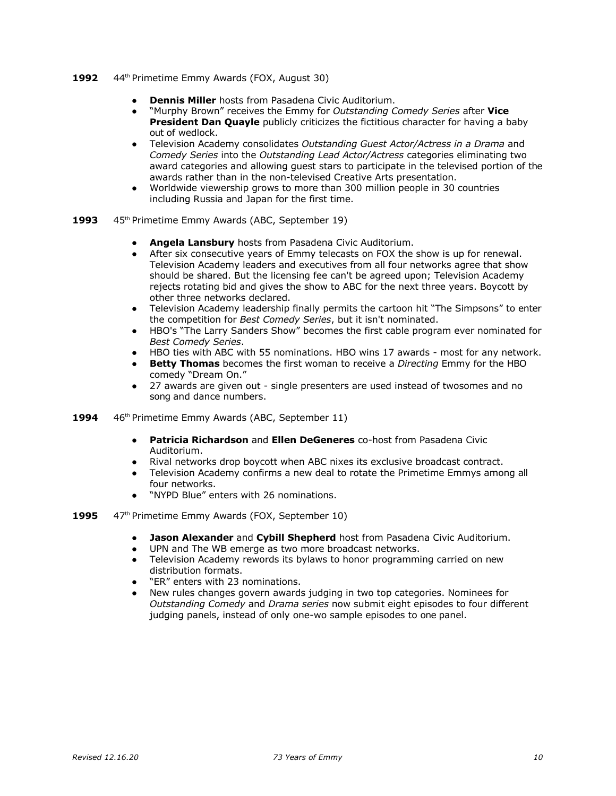- 1992 44<sup>th</sup> Primetime Emmy Awards (FOX, August 30)
	- **Dennis Miller** hosts from Pasadena Civic Auditorium.
	- "Murphy Brown" receives the Emmy for *Outstanding Comedy Series* after **Vice President Dan Quayle** publicly criticizes the fictitious character for having a baby out of wedlock.
	- Television Academy consolidates *Outstanding Guest Actor/Actress in a Drama* and *Comedy Series* into the *Outstanding Lead Actor/Actress* categories eliminating two award categories and allowing guest stars to participate in the televised portion of the awards rather than in the non-televised Creative Arts presentation.
	- Worldwide viewership grows to more than 300 million people in 30 countries including Russia and Japan for the first time.
- 1993 45<sup>th</sup> Primetime Emmy Awards (ABC, September 19)
	- **● Angela Lansbury** hosts from Pasadena Civic Auditorium.
	- After six consecutive years of Emmy telecasts on FOX the show is up for renewal. Television Academy leaders and executives from all four networks agree that show should be shared. But the licensing fee can't be agreed upon; Television Academy rejects rotating bid and gives the show to ABC for the next three years. Boycott by other three networks declared.
	- Television Academy leadership finally permits the cartoon hit "The Simpsons" to enter the competition for *Best Comedy Series*, but it isn't nominated.
	- HBO's "The Larry Sanders Show" becomes the first cable program ever nominated for *Best Comedy Series*.
	- HBO ties with ABC with 55 nominations. HBO wins 17 awards most for any network.
	- **Betty Thomas** becomes the first woman to receive a *Directing* Emmy for the HBO comedy "Dream On."
	- 27 awards are given out single presenters are used instead of twosomes and no song and dance numbers.
- **1994** 46th Primetime Emmy Awards (ABC, September 11)
	- **● Patricia Richardson** and **Ellen DeGeneres** co-host from Pasadena Civic Auditorium.
	- Rival networks drop boycott when ABC nixes its exclusive broadcast contract.
	- Television Academy confirms a new deal to rotate the Primetime Emmys among all four networks.
	- "NYPD Blue" enters with 26 nominations.
- 1995 47<sup>th</sup> Primetime Emmy Awards (FOX, September 10)
	- **Jason Alexander** and **Cybill Shepherd** host from Pasadena Civic Auditorium.
	- UPN and The WB emerge as two more broadcast networks.
	- Television Academy rewords its bylaws to honor programming carried on new distribution formats.
	- "ER" enters with 23 nominations.
	- New rules changes govern awards judging in two top categories. Nominees for *Outstanding Comedy* and *Drama series* now submit eight episodes to four different judging panels, instead of only one-wo sample episodes to one panel.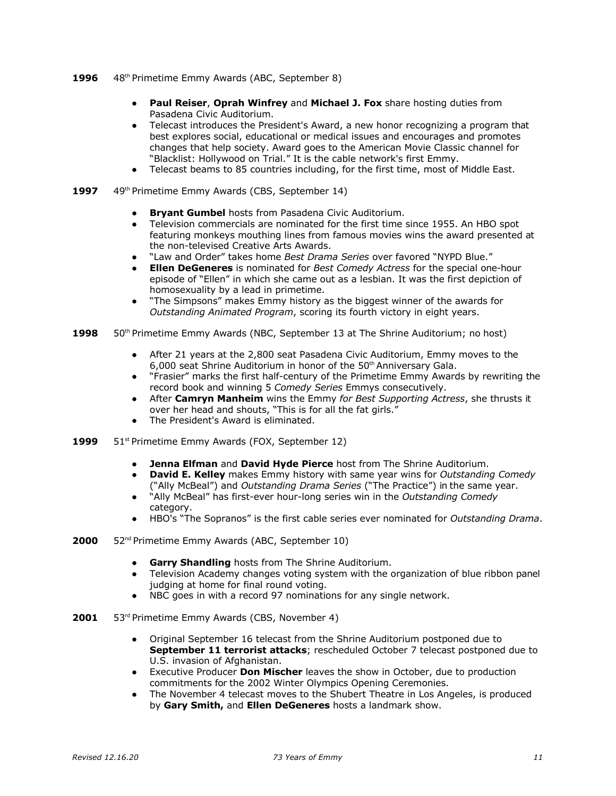- 1996 48<sup>th</sup> Primetime Emmy Awards (ABC, September 8)
	- **Paul Reiser**, **Oprah Winfrey** and **Michael J. Fox** share hosting duties from Pasadena Civic Auditorium.
	- Telecast introduces the President's Award, a new honor recognizing a program that best explores social, educational or medical issues and encourages and promotes changes that help society. Award goes to the American Movie Classic channel for "Blacklist: Hollywood on Trial." It is the cable network's first Emmy.
	- Telecast beams to 85 countries including, for the first time, most of Middle East.
- **1997** 49th Primetime Emmy Awards (CBS, September 14)
	- **Bryant Gumbel** hosts from Pasadena Civic Auditorium.
	- Television commercials are nominated for the first time since 1955. An HBO spot featuring monkeys mouthing lines from famous movies wins the award presented at the non-televised Creative Arts Awards.
	- "Law and Order" takes home *Best Drama Series* over favored "NYPD Blue."
	- **Ellen DeGeneres** is nominated for *Best Comedy Actress* for the special one-hour episode of "Ellen" in which she came out as a lesbian. It was the first depiction of homosexuality by a lead in primetime.
	- "The Simpsons" makes Emmy history as the biggest winner of the awards for *Outstanding Animated Program*, scoring its fourth victory in eight years.
- 1998 50<sup>th</sup> Primetime Emmy Awards (NBC, September 13 at The Shrine Auditorium; no host)
	- After 21 years at the 2,800 seat Pasadena Civic Auditorium, Emmy moves to the 6,000 seat Shrine Auditorium in honor of the 50<sup>th</sup> Anniversary Gala.
	- "Frasier" marks the first half-century of the Primetime Emmy Awards by rewriting the record book and winning 5 *Comedy Series* Emmys consecutively.
	- After **Camryn Manheim** wins the Emmy *for Best Supporting Actress*, she thrusts it over her head and shouts, "This is for all the fat girls."
	- The President's Award is eliminated.
- **1999** 51<sup>st</sup> Primetime Emmy Awards (FOX, September 12)
	- **● Jenna Elfman** and **David Hyde Pierce** host from The Shrine Auditorium.
	- **David E. Kelley** makes Emmy history with same year wins for *Outstanding Comedy* ("Ally McBeal") and *Outstanding Drama Series* ("The Practice") in the same year.
	- "Ally McBeal" has first-ever hour-long series win in the *Outstanding Comedy* category.
	- HBO's "The Sopranos" is the first cable series ever nominated for *Outstanding Drama*.
- **2000** 52nd Primetime Emmy Awards (ABC, September 10)
	- **Garry Shandling** hosts from The Shrine Auditorium.
	- Television Academy changes voting system with the organization of blue ribbon panel judging at home for final round voting.
	- NBC goes in with a record 97 nominations for any single network.
- **2001** 53rd Primetime Emmy Awards (CBS, November 4)
	- Original September 16 telecast from the Shrine Auditorium postponed due to **September 11 terrorist attacks**; rescheduled October 7 telecast postponed due to U.S. invasion of Afghanistan.
	- Executive Producer **Don Mischer** leaves the show in October, due to production commitments for the 2002 Winter Olympics Opening Ceremonies.
	- The November 4 telecast moves to the Shubert Theatre in Los Angeles, is produced by **Gary Smith,** and **Ellen DeGeneres** hosts a landmark show.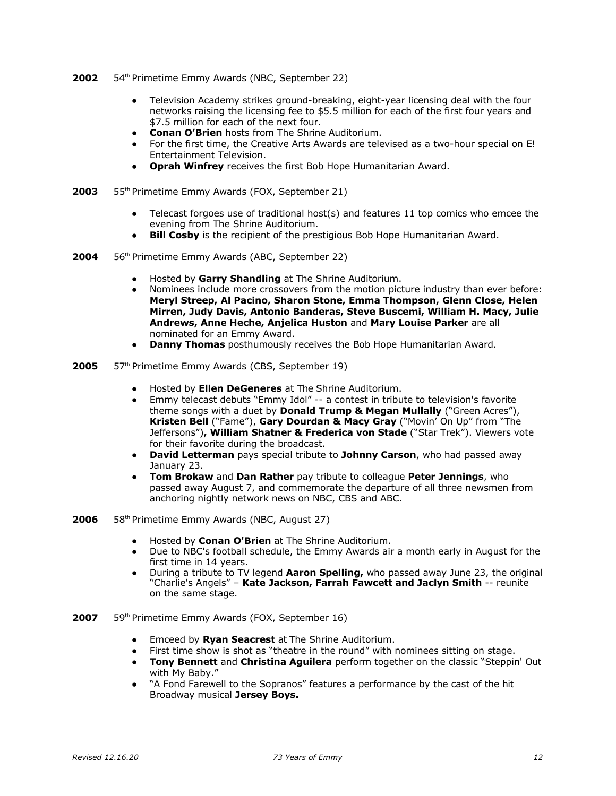- 2002 54<sup>th</sup> Primetime Emmy Awards (NBC, September 22)
	- Television Academy strikes ground-breaking, eight-year licensing deal with the four networks raising the licensing fee to \$5.5 million for each of the first four years and \$7.5 million for each of the next four.
	- **Conan O'Brien** hosts from The Shrine Auditorium.
	- For the first time, the Creative Arts Awards are televised as a two-hour special on E! Entertainment Television.
	- **Oprah Winfrey** receives the first Bob Hope Humanitarian Award.
- **2003** 55th Primetime Emmy Awards (FOX, September 21)
	- Telecast forgoes use of traditional host(s) and features 11 top comics who emcee the evening from The Shrine Auditorium.
	- **Bill Cosby** is the recipient of the prestigious Bob Hope Humanitarian Award.
- **2004** 56th Primetime Emmy Awards (ABC, September 22)
	- **●** Hosted by **Garry Shandling** at The Shrine Auditorium.
	- Nominees include more crossovers from the motion picture industry than ever before: **Meryl Streep, Al Pacino, Sharon Stone, Emma Thompson, Glenn Close, Helen Mirren, Judy Davis, Antonio Banderas, Steve Buscemi, William H. Macy, Julie Andrews, Anne Heche, Anjelica Huston** and **Mary Louise Parker** are all nominated for an Emmy Award.
	- **Danny Thomas** posthumously receives the Bob Hope Humanitarian Award.
- **2005** 57th Primetime Emmy Awards (CBS, September 19)
	- **●** Hosted by **Ellen DeGeneres** at The Shrine Auditorium.
	- Emmy telecast debuts "Emmy Idol" -- a contest in tribute to television's favorite theme songs with a duet by **Donald Trump & Megan Mullally** ("Green Acres"), **Kristen Bell** ("Fame"), **Gary Dourdan & Macy Gray** ("Movin' On Up" from "The Jeffersons")**, William Shatner & Frederica von Stade** ("Star Trek"). Viewers vote for their favorite during the broadcast.
	- **David Letterman** pays special tribute to **Johnny Carson**, who had passed away January 23.
	- **Tom Brokaw** and **Dan Rather** pay tribute to colleague **Peter Jennings**, who passed away August 7, and commemorate the departure of all three newsmen from anchoring nightly network news on NBC, CBS and ABC.
- **2006** 58th Primetime Emmy Awards (NBC, August 27)
	- **●** Hosted by **Conan O'Brien** at The Shrine Auditorium.
	- Due to NBC's football schedule, the Emmy Awards air a month early in August for the first time in 14 years.
	- During a tribute to TV legend **Aaron Spelling,** who passed away June 23, the original "Charlie's Angels" – **Kate Jackson, Farrah Fawcett and Jaclyn Smith** -- reunite on the same stage.
- **2007** 59th Primetime Emmy Awards (FOX, September 16)
	- **●** Emceed by **Ryan Seacrest** at The Shrine Auditorium.
	- First time show is shot as "theatre in the round" with nominees sitting on stage.<br>• Tony Bennett and Christina Aquilera perform together on the classic "Stennir
	- **Tony Bennett** and **Christina Aguilera** perform together on the classic "Steppin' Out with My Baby."
	- "A Fond Farewell to the Sopranos" features a performance by the cast of the hit Broadway musical **Jersey Boys.**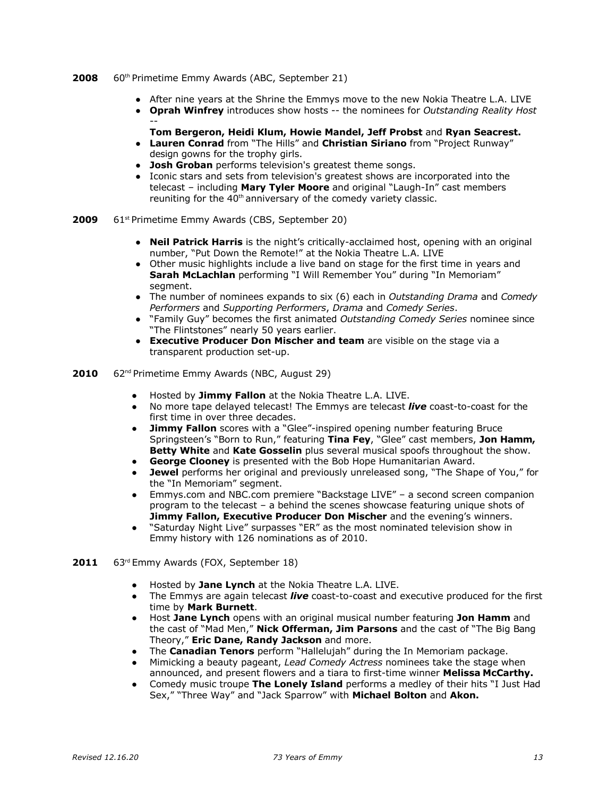#### **2008** 60th Primetime Emmy Awards (ABC, September 21)

- After nine years at the Shrine the Emmys move to the new Nokia Theatre L.A. LIVE
- **Oprah Winfrey** introduces show hosts -- the nominees for *Outstanding Reality Host* --
	- **Tom Bergeron, Heidi Klum, Howie Mandel, Jeff Probst** and **Ryan Seacrest.**
- **Lauren Conrad** from "The Hills" and **Christian Siriano** from "Project Runway" design gowns for the trophy girls.
- **Josh Groban** performs television's greatest theme songs.
- Iconic stars and sets from television's greatest shows are incorporated into the telecast – including **Mary Tyler Moore** and original "Laugh-In" cast members reuniting for the  $40<sup>th</sup>$  anniversary of the comedy variety classic.
- **2009** 61<sup>st</sup> Primetime Emmy Awards (CBS, September 20)
	- **Neil Patrick Harris** is the night's critically-acclaimed host, opening with an original number, "Put Down the Remote!" at the Nokia Theatre L.A. LIVE
	- Other music highlights include a live band on stage for the first time in years and **Sarah McLachlan** performing "I Will Remember You" during "In Memoriam" segment.
	- The number of nominees expands to six (6) each in *Outstanding Drama* and *Comedy Performers* and *Supporting Performers*, *Drama* and *Comedy Series*.
	- "Family Guy" becomes the first animated *Outstanding Comedy Series* nominee since "The Flintstones" nearly 50 years earlier.
	- **Executive Producer Don Mischer and team** are visible on the stage via a transparent production set-up.
- **2010** 62nd Primetime Emmy Awards (NBC, August 29)
	- **●** Hosted by **Jimmy Fallon** at the Nokia Theatre L.A. LIVE.
	- No more tape delayed telecast! The Emmys are telecast *live* coast-to-coast for the first time in over three decades.
	- **Jimmy Fallon** scores with a "Glee"-inspired opening number featuring Bruce Springsteen's "Born to Run," featuring **Tina Fey**, "Glee" cast members, **Jon Hamm, Betty White** and **Kate Gosselin** plus several musical spoofs throughout the show.
	- **George Clooney** is presented with the Bob Hope Humanitarian Award.
	- **Jewel** performs her original and previously unreleased song, "The Shape of You," for the "In Memoriam" segment.
	- Emmys.com and NBC.com premiere "Backstage LIVE" a second screen companion program to the telecast – a behind the scenes showcase featuring unique shots of **Jimmy Fallon, Executive Producer Don Mischer** and the evening's winners.
	- "Saturday Night Live" surpasses "ER" as the most nominated television show in Emmy history with 126 nominations as of 2010.
- **2011** 63rd Emmy Awards (FOX, September 18)
	- **●** Hosted by **Jane Lynch** at the Nokia Theatre L.A. LIVE.
	- The Emmys are again telecast *live* coast-to-coast and executive produced for the first time by **Mark Burnett**.
	- Host **Jane Lynch** opens with an original musical number featuring **Jon Hamm** and the cast of "Mad Men," **Nick Offerman, Jim Parsons** and the cast of "The Big Bang Theory," **Eric Dane, Randy Jackson** and more.
	- The **Canadian Tenors** perform "Hallelujah" during the In Memoriam package.
	- Mimicking a beauty pageant, *Lead Comedy Actress* nominees take the stage when announced, and present flowers and a tiara to first-time winner **Melissa McCarthy.**
	- Comedy music troupe **The Lonely Island** performs a medley of their hits "I Just Had Sex," "Three Way" and "Jack Sparrow" with **Michael Bolton** and **Akon.**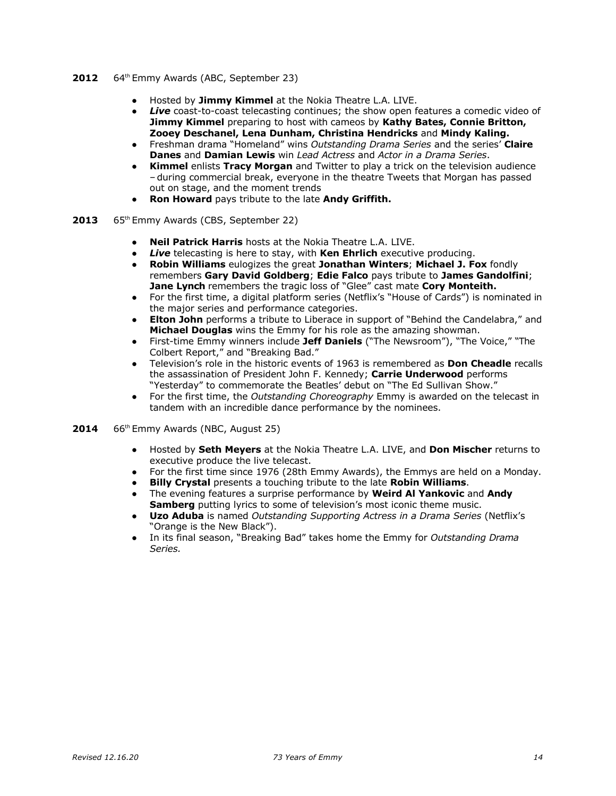- 2012 64<sup>th</sup> Emmy Awards (ABC, September 23)
	- **●** Hosted by **Jimmy Kimmel** at the Nokia Theatre L.A. LIVE.
	- **Live** coast-to-coast telecasting continues; the show open features a comedic video of **Jimmy Kimmel** preparing to host with cameos by **Kathy Bates, Connie Britton, Zooey Deschanel, Lena Dunham, Christina Hendricks** and **Mindy Kaling.**
	- Freshman drama "Homeland" wins *Outstanding Drama Series* and the series' **Claire Danes** and **Damian Lewis** win *Lead Actress* and *Actor in a Drama Series*.
	- **Kimmel** enlists **Tracy Morgan** and Twitter to play a trick on the television audience –during commercial break, everyone in the theatre Tweets that Morgan has passed out on stage, and the moment trends
	- **Ron Howard** pays tribute to the late **Andy Griffith.**
- 2013 65<sup>th</sup> Emmy Awards (CBS, September 22)
	- **Neil Patrick Harris** hosts at the Nokia Theatre L.A. LIVE.
	- *Live* telecasting is here to stay, with **Ken Ehrlich** executive producing.
	- **Robin Williams** eulogizes the great **Jonathan Winters**; **Michael J. Fox** fondly remembers **Gary David Goldberg**; **Edie Falco** pays tribute to **James Gandolfini**; **Jane Lynch** remembers the tragic loss of "Glee" cast mate **Cory Monteith.**
	- For the first time, a digital platform series (Netflix's "House of Cards") is nominated in the major series and performance categories.
	- **Elton John** performs a tribute to Liberace in support of "Behind the Candelabra," and **Michael Douglas** wins the Emmy for his role as the amazing showman.
	- First-time Emmy winners include **Jeff Daniels** ("The Newsroom"), "The Voice," "The Colbert Report," and "Breaking Bad."
	- Television's role in the historic events of 1963 is remembered as **Don Cheadle** recalls the assassination of President John F. Kennedy; **Carrie Underwood** performs "Yesterday" to commemorate the Beatles' debut on "The Ed Sullivan Show."
	- For the first time, the *Outstanding Choreography* Emmy is awarded on the telecast in tandem with an incredible dance performance by the nominees.
- 2014 66<sup>th</sup> Emmy Awards (NBC, August 25)
	- **●** Hosted by **Seth Meyers** at the Nokia Theatre L.A. LIVE, and **Don Mischer** returns to executive produce the live telecast.
	- **●** For the first time since 1976 (28th Emmy Awards), the Emmys are held on a Monday.
	- **Billy Crystal** presents a touching tribute to the late **Robin Williams**.
	- **●** The evening features a surprise performance by **Weird Al Yankovic** and **Andy Samberg** putting lyrics to some of television's most iconic theme music.
	- **● Uzo Aduba** is named *Outstanding Supporting Actress in a Drama Series* (Netflix's "Orange is the New Black").
	- **●** In its final season, "Breaking Bad" takes home the Emmy for *Outstanding Drama Series.*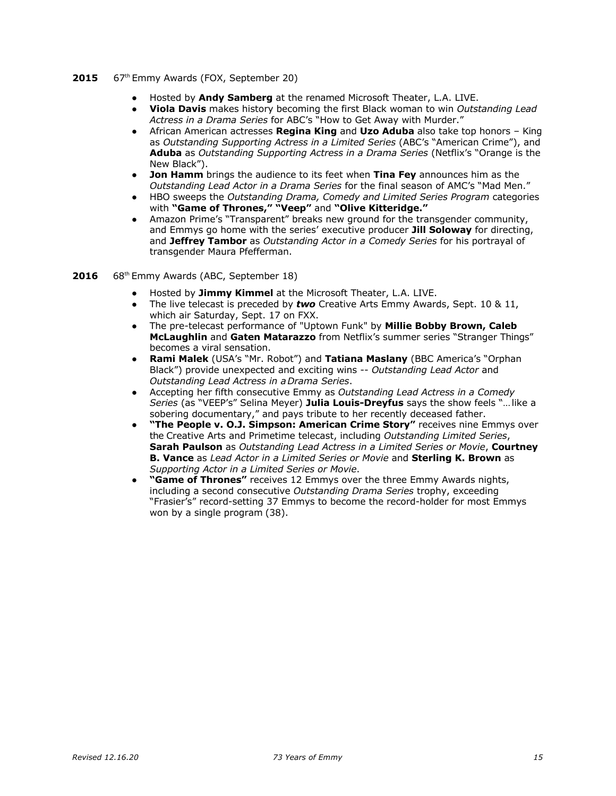### 2015 67<sup>th</sup> Emmy Awards (FOX, September 20)

- **●** Hosted by **Andy Samberg** at the renamed Microsoft Theater, L.A. LIVE.
- **● Viola Davis** makes history becoming the first Black woman to win *Outstanding Lead Actress in a Drama Series* for ABC's "How to Get Away with Murder."
- **●** African American actresses **Regina King** and **Uzo Aduba** also take top honors King as *Outstanding Supporting Actress in a Limited Series* (ABC's "American Crime"), and **Aduba** as *Outstanding Supporting Actress in a Drama Series* (Netflix's "Orange is the New Black").
- **● Jon Hamm** brings the audience to its feet when **Tina Fey** announces him as the *Outstanding Lead Actor in a Drama Series* for the final season of AMC's "Mad Men."
- **●** HBO sweeps the *Outstanding Drama, Comedy and Limited Series Program* categories with **"Game of Thrones," "Veep"** and **"Olive Kitteridge."**
- **●** Amazon Prime's "Transparent" breaks new ground for the transgender community, and Emmys go home with the series' executive producer **Jill Soloway** for directing, and **Jeffrey Tambor** as *Outstanding Actor in a Comedy Series* for his portrayal of transgender Maura Pfefferman.
- **2016** 68th Emmy Awards (ABC, September 18)
	- **●** Hosted by **Jimmy Kimmel** at the Microsoft Theater, L.A. LIVE.
	- The live telecast is preceded by **two** Creative Arts Emmy Awards, Sept. 10 & 11, which air Saturday, Sept. 17 on FXX.
	- The pre-telecast performance of "Uptown Funk" by **Millie Bobby Brown, Caleb McLaughlin** and **Gaten Matarazzo** from Netflix's summer series "Stranger Things" becomes a viral sensation.
	- **Rami Malek** (USA's "Mr. Robot") and **Tatiana Maslany** (BBC America's "Orphan Black") provide unexpected and exciting wins -- *Outstanding Lead Actor* and *Outstanding Lead Actress in a Drama Series*.
	- Accepting her fifth consecutive Emmy as *Outstanding Lead Actress in a Comedy Series* (as "VEEP's" Selina Meyer) **Julia Louis-Dreyfus** says the show feels "… like a sobering documentary," and pays tribute to her recently deceased father.
	- "The People v. O.J. Simpson: American Crime Story" receives nine Emmys over the Creative Arts and Primetime telecast, including *Outstanding Limited Series*, **Sarah Paulson** as *Outstanding Lead Actress in a Limited Series or Movie*, **Courtney B. Vance** as *Lead Actor in a Limited Series or Movie* and **Sterling K. Brown** as *Supporting Actor in a Limited Series or Movie*.
	- "Game of Thrones" receives 12 Emmys over the three Emmy Awards nights, including a second consecutive *Outstanding Drama Series* trophy, exceeding "Frasier's" record-setting 37 Emmys to become the record-holder for most Emmys won by a single program (38).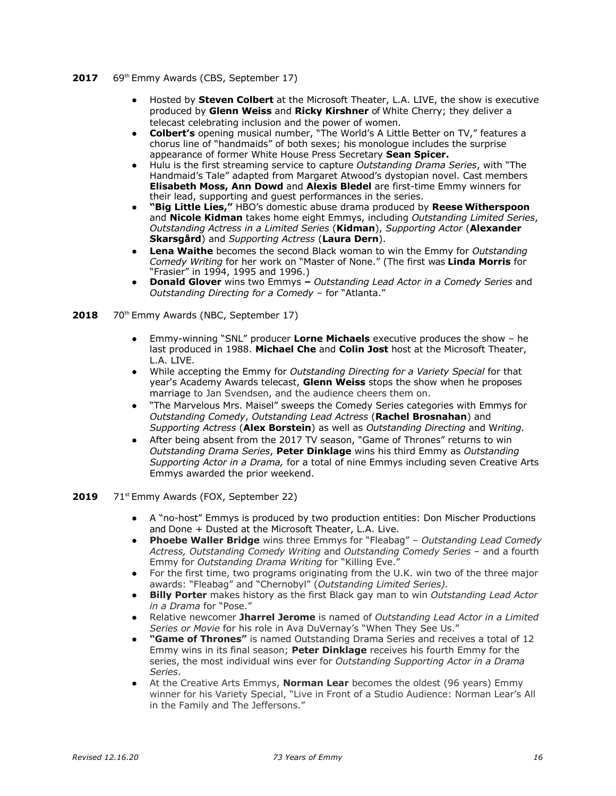- **2017** 69th Emmy Awards (CBS, September 17)
	- Hosted by **Steven Colbert** at the Microsoft Theater, L.A. LIVE, the show is executive produced by **Glenn Weiss** and **Ricky Kirshner** of White Cherry; they deliver a telecast celebrating inclusion and the power of women.
	- **Colbert's** opening musical number, "The World's A Little Better on TV," features a chorus line of "handmaids" of both sexes; his monologue includes the surprise appearance of former White House Press Secretary **Sean Spicer.**
	- Hulu is the first streaming service to capture *Outstanding Drama Series*, with "The Handmaid's Tale" adapted from Margaret Atwood's dystopian novel. Cast members **Elisabeth Moss, Ann Dowd** and **Alexis Bledel** are first-time Emmy winners for their lead, supporting and guest performances in the series.
	- "Big Little Lies," HBO's domestic abuse drama produced by Reese Witherspoon and **Nicole Kidman** takes home eight Emmys, including *Outstanding Limited Series*, *Outstanding Actress in a Limited Series* (**Kidman**), *Supporting Actor* (**Alexander Skarsgård**) and *Supporting Actress* (**Laura Dern**).
	- **Lena Waithe** becomes the second Black woman to win the Emmy for *Outstanding Comedy Writing* for her work on "Master of None." (The first was **Linda Morris** for "Frasier" in 1994, 1995 and 1996.)
	- **Donald Glover** wins two Emmys **–** *Outstanding Lead Actor in a Comedy Series* and *Outstanding Directing for a Comedy –* for "Atlanta."
- 2018 70<sup>th</sup> Emmy Awards (NBC, September 17)
	- **●** Emmy-winning "SNL" producer **Lorne Michaels** executive produces the show he last produced in 1988. **Michael Che** and **Colin Jost** host at the Microsoft Theater, L.A. LIVE.
	- While accepting the Emmy for *Outstanding Directing for a Variety Special* for that year's Academy Awards telecast, **Glenn Weiss** stops the show when he proposes marriage to Jan Svendsen, and the audience cheers them on.
	- "The Marvelous Mrs. Maisel" sweeps the Comedy Series categories with Emmys for *Outstanding Comedy*, *Outstanding Lead Actress* (**Rachel Brosnahan**) and *Supporting Actress* (**Alex Borstein**) as well as *Outstanding Directing* and W*riting.*
	- After being absent from the 2017 TV season, "Game of Thrones" returns to win *Outstanding Drama Series*, **Peter Dinklage** wins his third Emmy as *Outstanding Supporting Actor in a Drama,* for a total of nine Emmys including seven Creative Arts Emmys awarded the prior weekend.

### 2019 71<sup>st</sup> Emmy Awards (FOX, September 22)

- **●** A "no-host" Emmys is produced by two production entities: Don Mischer Productions and Done + Dusted at the Microsoft Theater, L.A. Live.
- **● Phoebe Waller Bridge** wins three Emmys for "Fleabag" *Outstanding Lead Comedy Actress, Outstanding Comedy Writing* and *Outstanding Comedy Series* – and a fourth Emmy for *Outstanding Drama Writing* for "Killing Eve."
- **●** For the first time, two programs originating from the U.K. win two of the three major awards: "Fleabag" and "Chernobyl" (*Outstanding Limited Series).*
- **● Billy Porter** makes history as the first Black gay man to win *Outstanding Lead Actor in a Drama* for "Pose."
- **●** Relative newcomer **Jharrel Jerome** is named of *Outstanding Lead Actor in a Limited Series or Movie* for his role in Ava DuVernay's "When They See Us."
- **● "Game of Thrones"** is named Outstanding Drama Series and receives a total of 12 Emmy wins in its final season; **Peter Dinklage** receives his fourth Emmy for the series, the most individual wins ever for *Outstanding Supporting Actor in a Drama Series*.
- **●** At the Creative Arts Emmys, **Norman Lear** becomes the oldest (96 years) Emmy winner for his Variety Special, "Live in Front of a Studio Audience: Norman Lear's All in the Family and The Jeffersons."